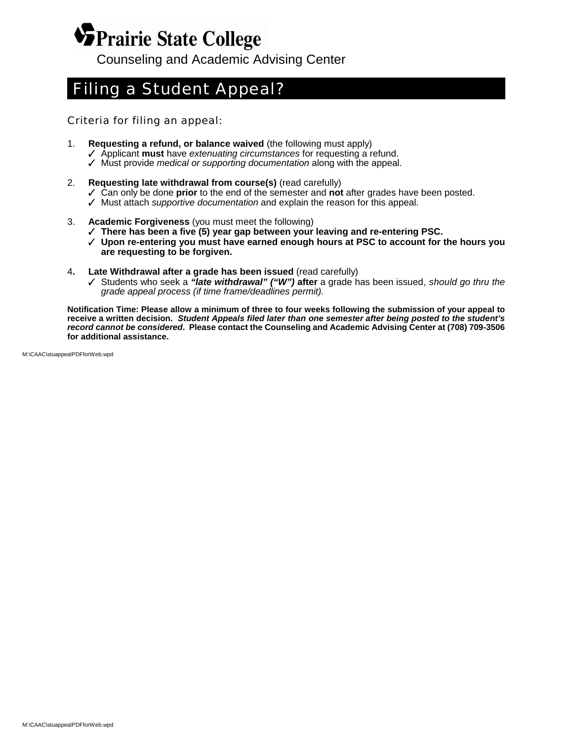## **VPrairie State College** Counseling and Academic Advising Center

## *Filing a Student Appeal?*

*Criteria for filing an appeal:*

- 1. **Requesting a refund, or balance waived** (the following must apply)
	- T Applicant **must** have *extenuating circumstances* for requesting a refund.
	- T Must provide *medical or supporting documentation* along with the appeal.
- 2. **Requesting late withdrawal from course(s)** (read carefully)
	- T Can only be done **prior** to the end of the semester and **not** after grades have been posted.
	- T Must attach *supportive documentation* and explain the reason for this appeal.
- 3. **Academic Forgiveness** (you must meet the following)
	- T **There has been a five (5) year gap between your leaving and re-entering PSC.**
	- T **Upon re-entering you must have earned enough hours at PSC to account for the hours you are requesting to be forgiven.**
- 4**. Late Withdrawal after a grade has been issued** (read carefully)
	- T Students who seek a *"late withdrawal" ("W")* **after** a grade has been issued, *should go thru the grade appeal process (if time frame/deadlines permit).*

**Notification Time: Please allow a minimum of three to four weeks following the submission of your appeal to receive a written decision.** *Student Appeals filed later than one semester after being posted to the student's record cannot be considered***. Please contact the Counseling and Academic Advising Center at (708) 709-3506 for additional assistance.**

M:\CAAC\stuappealPDFforWeb.wpd